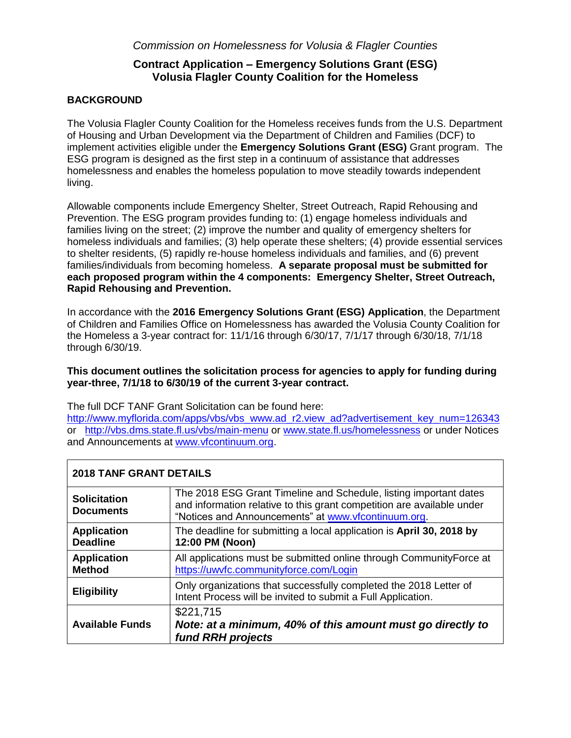### *Commission on Homelessness for Volusia & Flagler Counties*

## **Contract Application – Emergency Solutions Grant (ESG) Volusia Flagler County Coalition for the Homeless**

### **BACKGROUND**

The Volusia Flagler County Coalition for the Homeless receives funds from the U.S. Department of Housing and Urban Development via the Department of Children and Families (DCF) to implement activities eligible under the **Emergency Solutions Grant (ESG)** Grant program. The ESG program is designed as the first step in a continuum of assistance that addresses homelessness and enables the homeless population to move steadily towards independent living.

Allowable components include Emergency Shelter, Street Outreach, Rapid Rehousing and Prevention. The ESG program provides funding to: (1) engage homeless individuals and families living on the street; (2) improve the number and quality of emergency shelters for homeless individuals and families; (3) help operate these shelters; (4) provide essential services to shelter residents, (5) rapidly re-house homeless individuals and families, and (6) prevent families/individuals from becoming homeless. **A separate proposal must be submitted for each proposed program within the 4 components: Emergency Shelter, Street Outreach, Rapid Rehousing and Prevention.**

In accordance with the **2016 Emergency Solutions Grant (ESG) Application**, the Department of Children and Families Office on Homelessness has awarded the Volusia County Coalition for the Homeless a 3-year contract for: 11/1/16 through 6/30/17, 7/1/17 through 6/30/18, 7/1/18 through 6/30/19.

### **This document outlines the solicitation process for agencies to apply for funding during year-three, 7/1/18 to 6/30/19 of the current 3-year contract.**

The full DCF TANF Grant Solicitation can be found here:

[http://www.myflorida.com/apps/vbs/vbs\\_www.ad\\_r2.view\\_ad?advertisement\\_key\\_num=126343](http://www.myflorida.com/apps/vbs/vbs_www.ad_r2.view_ad?advertisement_key_num=126343) or <http://vbs.dms.state.fl.us/vbs/main-menu> or [www.state.fl.us/homelessness](http://www.state.fl.us/homelessness) or under Notices and Announcements at [www.vfcontinuum.org.](http://www.vfcontinuum.org/)

| <b>2018 TANF GRANT DETAILS</b>          |                                                                                                                                                                                                    |  |
|-----------------------------------------|----------------------------------------------------------------------------------------------------------------------------------------------------------------------------------------------------|--|
| <b>Solicitation</b><br><b>Documents</b> | The 2018 ESG Grant Timeline and Schedule, listing important dates<br>and information relative to this grant competition are available under<br>"Notices and Announcements" at www.vfcontinuum.org. |  |
| <b>Application</b><br><b>Deadline</b>   | The deadline for submitting a local application is April 30, 2018 by<br>12:00 PM (Noon)                                                                                                            |  |
| <b>Application</b><br><b>Method</b>     | All applications must be submitted online through Community Force at<br>https://uwvfc.communityforce.com/Login                                                                                     |  |
| <b>Eligibility</b>                      | Only organizations that successfully completed the 2018 Letter of<br>Intent Process will be invited to submit a Full Application.                                                                  |  |
| <b>Available Funds</b>                  | \$221,715<br>Note: at a minimum, 40% of this amount must go directly to<br>fund RRH projects                                                                                                       |  |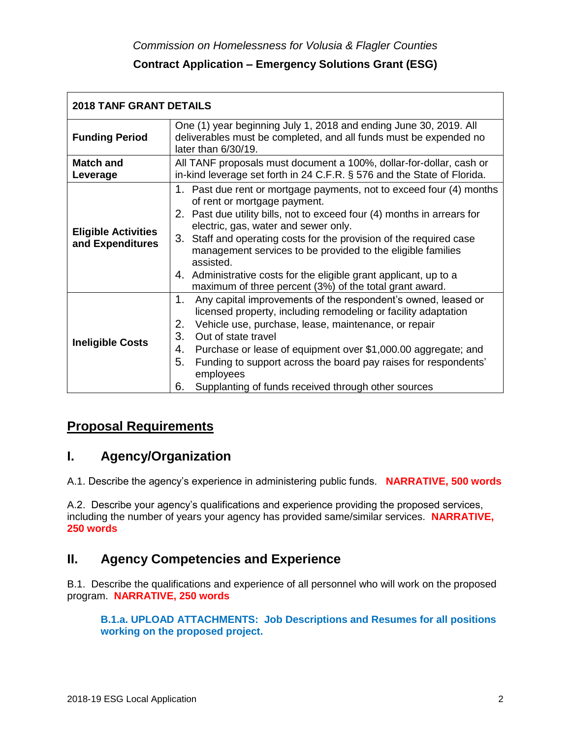| <b>2018 TANF GRANT DETAILS</b>                 |                                                                                                                                                                                                                                                                                                                                                                                                                                                                                                            |  |
|------------------------------------------------|------------------------------------------------------------------------------------------------------------------------------------------------------------------------------------------------------------------------------------------------------------------------------------------------------------------------------------------------------------------------------------------------------------------------------------------------------------------------------------------------------------|--|
| <b>Funding Period</b>                          | One (1) year beginning July 1, 2018 and ending June 30, 2019. All<br>deliverables must be completed, and all funds must be expended no<br>later than $6/30/19$ .                                                                                                                                                                                                                                                                                                                                           |  |
| <b>Match and</b><br>Leverage                   | All TANF proposals must document a 100%, dollar-for-dollar, cash or<br>in-kind leverage set forth in 24 C.F.R. § 576 and the State of Florida.                                                                                                                                                                                                                                                                                                                                                             |  |
| <b>Eligible Activities</b><br>and Expenditures | 1. Past due rent or mortgage payments, not to exceed four (4) months<br>of rent or mortgage payment.<br>2. Past due utility bills, not to exceed four (4) months in arrears for<br>electric, gas, water and sewer only.<br>3. Staff and operating costs for the provision of the required case<br>management services to be provided to the eligible families<br>assisted.<br>4. Administrative costs for the eligible grant applicant, up to a<br>maximum of three percent (3%) of the total grant award. |  |
| <b>Ineligible Costs</b>                        | 1.<br>Any capital improvements of the respondent's owned, leased or<br>licensed property, including remodeling or facility adaptation<br>2.<br>Vehicle use, purchase, lease, maintenance, or repair<br>3.<br>Out of state travel<br>Purchase or lease of equipment over \$1,000.00 aggregate; and<br>4.<br>Funding to support across the board pay raises for respondents'<br>5.<br>employees<br>Supplanting of funds received through other sources<br>6.                                                 |  |

# **Proposal Requirements**

# **I. Agency/Organization**

A.1. Describe the agency's experience in administering public funds. **NARRATIVE, 500 words**

A.2. Describe your agency's qualifications and experience providing the proposed services, including the number of years your agency has provided same/similar services. **NARRATIVE, 250 words**

# **II. Agency Competencies and Experience**

B.1. Describe the qualifications and experience of all personnel who will work on the proposed program. **NARRATIVE, 250 words** 

**B.1.a. UPLOAD ATTACHMENTS: Job Descriptions and Resumes for all positions working on the proposed project.**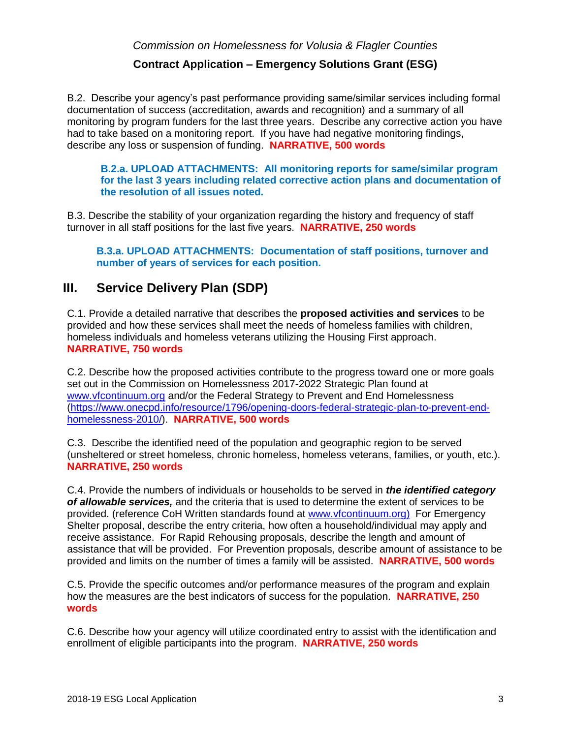*Commission on Homelessness for Volusia & Flagler Counties* 

### **Contract Application – Emergency Solutions Grant (ESG)**

B.2. Describe your agency's past performance providing same/similar services including formal documentation of success (accreditation, awards and recognition) and a summary of all monitoring by program funders for the last three years. Describe any corrective action you have had to take based on a monitoring report. If you have had negative monitoring findings, describe any loss or suspension of funding. **NARRATIVE, 500 words** 

**B.2.a. UPLOAD ATTACHMENTS: All monitoring reports for same/similar program for the last 3 years including related corrective action plans and documentation of the resolution of all issues noted.**

B.3. Describe the stability of your organization regarding the history and frequency of staff turnover in all staff positions for the last five years. **NARRATIVE, 250 words** 

**B.3.a. UPLOAD ATTACHMENTS: Documentation of staff positions, turnover and number of years of services for each position.**

# **III. Service Delivery Plan (SDP)**

C.1. Provide a detailed narrative that describes the **proposed activities and services** to be provided and how these services shall meet the needs of homeless families with children, homeless individuals and homeless veterans utilizing the Housing First approach. **NARRATIVE, 750 words** 

C.2. Describe how the proposed activities contribute to the progress toward one or more goals set out in the Commission on Homelessness 2017-2022 Strategic Plan found at [www.vfcontinuum.org](http://www.vfcontinuum.org/) and/or the Federal Strategy to Prevent and End Homelessness [\(https://www.onecpd.info/resource/1796/opening-doors-federal-strategic-plan-to-prevent-end](https://www.onecpd.info/resource/1796/opening-doors-federal-strategic-plan-to-prevent-end-homelessness-2010/)[homelessness-2010/\)](https://www.onecpd.info/resource/1796/opening-doors-federal-strategic-plan-to-prevent-end-homelessness-2010/). **NARRATIVE, 500 words** 

C.3. Describe the identified need of the population and geographic region to be served (unsheltered or street homeless, chronic homeless, homeless veterans, families, or youth, etc.). **NARRATIVE, 250 words** 

C.4. Provide the numbers of individuals or households to be served in *the identified category of allowable services,* and the criteria that is used to determine the extent of services to be provided. (reference CoH Written standards found at [www.vfcontinuum.org\)](http://www.vfcontinuum.org/) For Emergency Shelter proposal, describe the entry criteria, how often a household/individual may apply and receive assistance. For Rapid Rehousing proposals, describe the length and amount of assistance that will be provided. For Prevention proposals, describe amount of assistance to be provided and limits on the number of times a family will be assisted. **NARRATIVE, 500 words** 

C.5. Provide the specific outcomes and/or performance measures of the program and explain how the measures are the best indicators of success for the population. **NARRATIVE, 250 words** 

C.6. Describe how your agency will utilize coordinated entry to assist with the identification and enrollment of eligible participants into the program. **NARRATIVE, 250 words**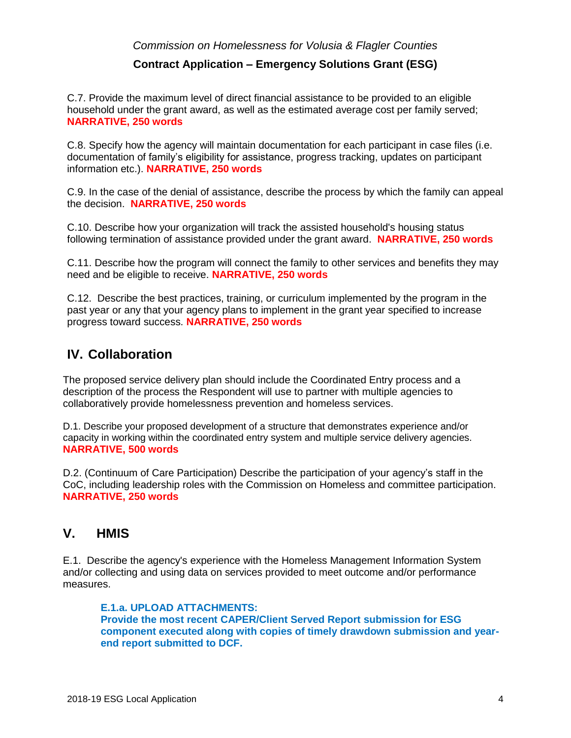### *Commission on Homelessness for Volusia & Flagler Counties*

## **Contract Application – Emergency Solutions Grant (ESG)**

C.7. Provide the maximum level of direct financial assistance to be provided to an eligible household under the grant award, as well as the estimated average cost per family served; **NARRATIVE, 250 words** 

C.8. Specify how the agency will maintain documentation for each participant in case files (i.e. documentation of family's eligibility for assistance, progress tracking, updates on participant information etc.). **NARRATIVE, 250 words** 

C.9. In the case of the denial of assistance, describe the process by which the family can appeal the decision. **NARRATIVE, 250 words** 

C.10. Describe how your organization will track the assisted household's housing status following termination of assistance provided under the grant award. **NARRATIVE, 250 words** 

C.11. Describe how the program will connect the family to other services and benefits they may need and be eligible to receive. **NARRATIVE, 250 words** 

C.12. Describe the best practices, training, or curriculum implemented by the program in the past year or any that your agency plans to implement in the grant year specified to increase progress toward success. **NARRATIVE, 250 words** 

# **IV. Collaboration**

The proposed service delivery plan should include the Coordinated Entry process and a description of the process the Respondent will use to partner with multiple agencies to collaboratively provide homelessness prevention and homeless services.

D.1. Describe your proposed development of a structure that demonstrates experience and/or capacity in working within the coordinated entry system and multiple service delivery agencies. **NARRATIVE, 500 words**

D.2. (Continuum of Care Participation) Describe the participation of your agency's staff in the CoC, including leadership roles with the Commission on Homeless and committee participation. **NARRATIVE, 250 words**

# **V. HMIS**

E.1. Describe the agency's experience with the Homeless Management Information System and/or collecting and using data on services provided to meet outcome and/or performance measures.

**E.1.a. UPLOAD ATTACHMENTS: Provide the most recent CAPER/Client Served Report submission for ESG component executed along with copies of timely drawdown submission and yearend report submitted to DCF.**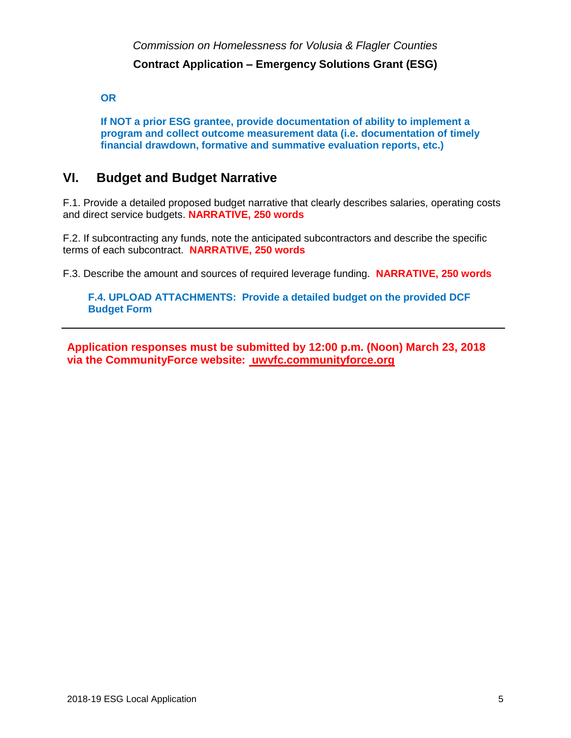**OR** 

**If NOT a prior ESG grantee, provide documentation of ability to implement a program and collect outcome measurement data (i.e. documentation of timely financial drawdown, formative and summative evaluation reports, etc.)**

# **VI. Budget and Budget Narrative**

F.1. Provide a detailed proposed budget narrative that clearly describes salaries, operating costs and direct service budgets. **NARRATIVE, 250 words**

F.2. If subcontracting any funds, note the anticipated subcontractors and describe the specific terms of each subcontract. **NARRATIVE, 250 words**

F.3. Describe the amount and sources of required leverage funding. **NARRATIVE, 250 words**

**F.4. UPLOAD ATTACHMENTS: Provide a detailed budget on the provided DCF Budget Form**

**Application responses must be submitted by 12:00 p.m. (Noon) March 23, 2018 via the CommunityForce website: uwvfc.communityforce.org**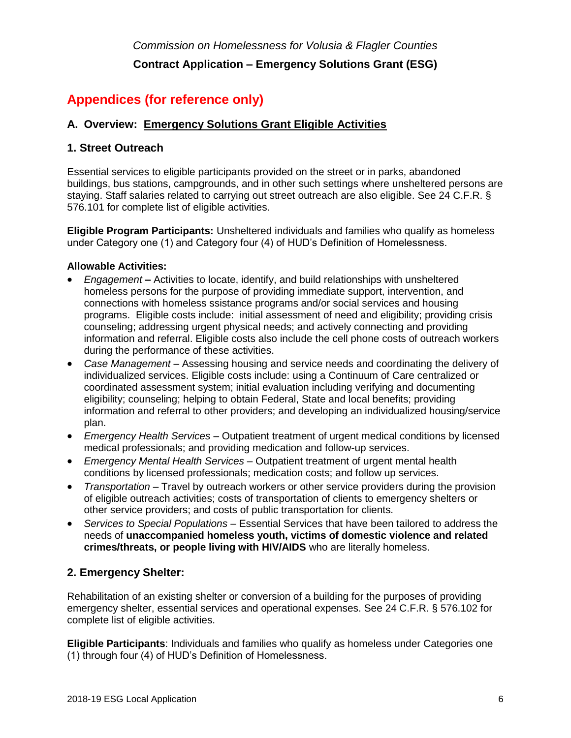# **Appendices (for reference only)**

## **A. Overview: Emergency Solutions Grant Eligible Activities**

## **1. Street Outreach**

Essential services to eligible participants provided on the street or in parks, abandoned buildings, bus stations, campgrounds, and in other such settings where unsheltered persons are staying. Staff salaries related to carrying out street outreach are also eligible. See 24 C.F.R. § 576.101 for complete list of eligible activities.

**Eligible Program Participants:** Unsheltered individuals and families who qualify as homeless under Category one (1) and Category four (4) of HUD's Definition of Homelessness.

### **Allowable Activities:**

- *Engagement* **–** Activities to locate, identify, and build relationships with unsheltered homeless persons for the purpose of providing immediate support, intervention, and connections with homeless ssistance programs and/or social services and housing programs. Eligible costs include: initial assessment of need and eligibility; providing crisis counseling; addressing urgent physical needs; and actively connecting and providing information and referral. Eligible costs also include the cell phone costs of outreach workers during the performance of these activities.
- *Case Management* Assessing housing and service needs and coordinating the delivery of individualized services. Eligible costs include: using a Continuum of Care centralized or coordinated assessment system; initial evaluation including verifying and documenting eligibility; counseling; helping to obtain Federal, State and local benefits; providing information and referral to other providers; and developing an individualized housing/service plan.
- *Emergency Health Services*  Outpatient treatment of urgent medical conditions by licensed medical professionals; and providing medication and follow-up services.
- *Emergency Mental Health Services*  Outpatient treatment of urgent mental health conditions by licensed professionals; medication costs; and follow up services.
- *Transportation* Travel by outreach workers or other service providers during the provision of eligible outreach activities; costs of transportation of clients to emergency shelters or other service providers; and costs of public transportation for clients.
- *Services to Special Populations*  Essential Services that have been tailored to address the needs of **unaccompanied homeless youth, victims of domestic violence and related crimes/threats, or people living with HIV/AIDS** who are literally homeless.

# **2. Emergency Shelter:**

Rehabilitation of an existing shelter or conversion of a building for the purposes of providing emergency shelter, essential services and operational expenses. See 24 C.F.R. § 576.102 for complete list of eligible activities.

**Eligible Participants**: Individuals and families who qualify as homeless under Categories one (1) through four (4) of HUD's Definition of Homelessness.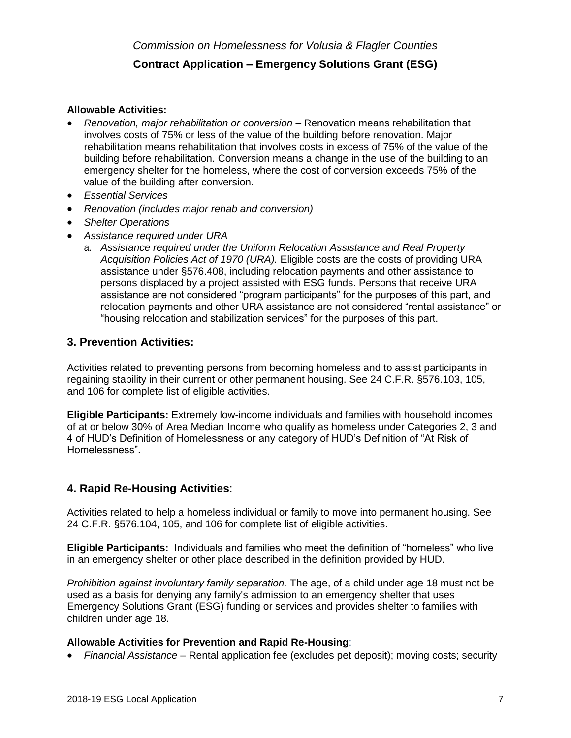### **Allowable Activities:**

- **Renovation, major rehabilitation or conversion** Renovation means rehabilitation that involves costs of 75% or less of the value of the building before renovation. Major rehabilitation means rehabilitation that involves costs in excess of 75% of the value of the building before rehabilitation. Conversion means a change in the use of the building to an emergency shelter for the homeless, where the cost of conversion exceeds 75% of the value of the building after conversion.
- *Essential Services*
- *Renovation (includes major rehab and conversion)*
- *Shelter Operations*
- *Assistance required under URA*
	- a. *Assistance required under the Uniform Relocation Assistance and Real Property Acquisition Policies Act of 1970 (URA).* Eligible costs are the costs of providing URA assistance under §576.408, including relocation payments and other assistance to persons displaced by a project assisted with ESG funds. Persons that receive URA assistance are not considered "program participants" for the purposes of this part, and relocation payments and other URA assistance are not considered "rental assistance" or "housing relocation and stabilization services" for the purposes of this part.

### **3. Prevention Activities:**

Activities related to preventing persons from becoming homeless and to assist participants in regaining stability in their current or other permanent housing. See 24 C.F.R. §576.103, 105, and 106 for complete list of eligible activities.

**Eligible Participants:** Extremely low-income individuals and families with household incomes of at or below 30% of Area Median Income who qualify as homeless under Categories 2, 3 and 4 of HUD's Definition of Homelessness or any category of HUD's Definition of "At Risk of Homelessness".

### **4. Rapid Re-Housing Activities**:

Activities related to help a homeless individual or family to move into permanent housing. See 24 C.F.R. §576.104, 105, and 106 for complete list of eligible activities.

**Eligible Participants:** Individuals and families who meet the definition of "homeless" who live in an emergency shelter or other place described in the definition provided by HUD.

*Prohibition against involuntary family separation.* The age, of a child under age 18 must not be used as a basis for denying any family's admission to an emergency shelter that uses Emergency Solutions Grant (ESG) funding or services and provides shelter to families with children under age 18.

### **Allowable Activities for Prevention and Rapid Re-Housing**:

• *Financial Assistance* – Rental application fee (excludes pet deposit); moving costs; security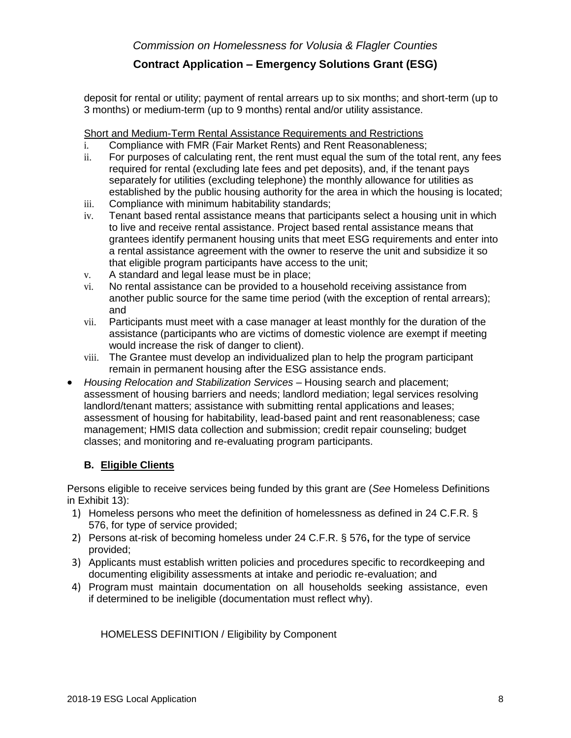deposit for rental or utility; payment of rental arrears up to six months; and short-term (up to 3 months) or medium-term (up to 9 months) rental and/or utility assistance.

Short and Medium-Term Rental Assistance Requirements and Restrictions

- i. Compliance with FMR (Fair Market Rents) and Rent Reasonableness;
- ii. For purposes of calculating rent, the rent must equal the sum of the total rent, any fees required for rental (excluding late fees and pet deposits), and, if the tenant pays separately for utilities (excluding telephone) the monthly allowance for utilities as established by the public housing authority for the area in which the housing is located;
- iii. Compliance with minimum habitability standards;
- iv. Tenant based rental assistance means that participants select a housing unit in which to live and receive rental assistance. Project based rental assistance means that grantees identify permanent housing units that meet ESG requirements and enter into a rental assistance agreement with the owner to reserve the unit and subsidize it so that eligible program participants have access to the unit;
- v. A standard and legal lease must be in place;
- vi. No rental assistance can be provided to a household receiving assistance from another public source for the same time period (with the exception of rental arrears); and
- vii. Participants must meet with a case manager at least monthly for the duration of the assistance (participants who are victims of domestic violence are exempt if meeting would increase the risk of danger to client).
- viii. The Grantee must develop an individualized plan to help the program participant remain in permanent housing after the ESG assistance ends.
- *Housing Relocation and Stabilization Services*  Housing search and placement; assessment of housing barriers and needs; landlord mediation; legal services resolving landlord/tenant matters; assistance with submitting rental applications and leases; assessment of housing for habitability, lead-based paint and rent reasonableness; case management; HMIS data collection and submission; credit repair counseling; budget classes; and monitoring and re-evaluating program participants.

## **B. Eligible Clients**

Persons eligible to receive services being funded by this grant are (*See* Homeless Definitions in Exhibit 13):

- 1) Homeless persons who meet the definition of homelessness as defined in 24 C.F.R. § 576, for type of service provided;
- 2) Persons at-risk of becoming homeless under 24 C.F.R. § 576**,** for the type of service provided;
- 3) Applicants must establish written policies and procedures specific to recordkeeping and documenting eligibility assessments at intake and periodic re-evaluation; and
- 4) Program must maintain documentation on all households seeking assistance, even if determined to be ineligible (documentation must reflect why).

HOMELESS DEFINITION / Eligibility by Component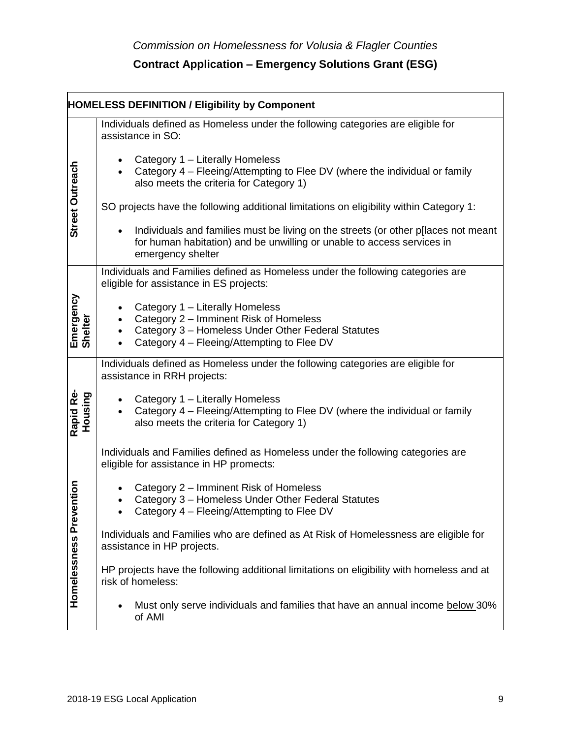|                      | <b>HOMELESS DEFINITION / Eligibility by Component</b>                                                                                                                             |
|----------------------|-----------------------------------------------------------------------------------------------------------------------------------------------------------------------------------|
|                      | Individuals defined as Homeless under the following categories are eligible for<br>assistance in SO:                                                                              |
| Street Outreach      | Category 1 - Literally Homeless<br>Category 4 – Fleeing/Attempting to Flee DV (where the individual or family<br>also meets the criteria for Category 1)                          |
|                      | SO projects have the following additional limitations on eligibility within Category 1:                                                                                           |
|                      | Individuals and families must be living on the streets (or other p[laces not meant<br>for human habitation) and be unwilling or unable to access services in<br>emergency shelter |
|                      | Individuals and Families defined as Homeless under the following categories are<br>eligible for assistance in ES projects:                                                        |
| Emergency<br>Shelter | Category 1 - Literally Homeless<br>Category 2 - Imminent Risk of Homeless<br>Category 3 - Homeless Under Other Federal Statutes<br>Category 4 - Fleeing/Attempting to Flee DV     |
|                      | Individuals defined as Homeless under the following categories are eligible for<br>assistance in RRH projects:                                                                    |
| Rapid Re-<br>Housing | Category 1 - Literally Homeless<br>Category 4 – Fleeing/Attempting to Flee DV (where the individual or family<br>also meets the criteria for Category 1)                          |
|                      | Individuals and Families defined as Homeless under the following categories are<br>eligible for assistance in HP promects:                                                        |
| ention               | Category 2 – Imminent Risk of Homeless<br>Category 3 - Homeless Under Other Federal Statutes<br>Category 4 - Fleeing/Attempting to Flee DV                                        |
|                      | Individuals and Families who are defined as At Risk of Homelessness are eligible for<br>assistance in HP projects.                                                                |
| Homelessness Prev    | HP projects have the following additional limitations on eligibility with homeless and at<br>risk of homeless:                                                                    |
|                      | Must only serve individuals and families that have an annual income below 30%<br>of AMI                                                                                           |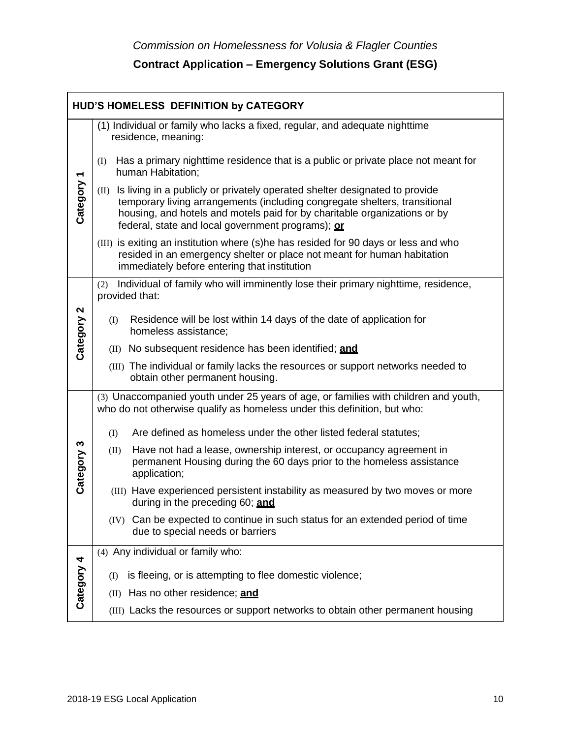|                                       | HUD'S HOMELESS DEFINITION by CATEGORY                                                                                                                                                                                                                                                               |
|---------------------------------------|-----------------------------------------------------------------------------------------------------------------------------------------------------------------------------------------------------------------------------------------------------------------------------------------------------|
|                                       | (1) Individual or family who lacks a fixed, regular, and adequate nighttime<br>residence, meaning:                                                                                                                                                                                                  |
|                                       | Has a primary nighttime residence that is a public or private place not meant for<br>(I)<br>human Habitation;                                                                                                                                                                                       |
| Category 1                            | Is living in a publicly or privately operated shelter designated to provide<br>(II)<br>temporary living arrangements (including congregate shelters, transitional<br>housing, and hotels and motels paid for by charitable organizations or by<br>federal, state and local government programs); or |
|                                       | (III) is exiting an institution where (s)he has resided for 90 days or less and who<br>resided in an emergency shelter or place not meant for human habitation<br>immediately before entering that institution                                                                                      |
|                                       | Individual of family who will imminently lose their primary nighttime, residence,<br>(2)<br>provided that:                                                                                                                                                                                          |
| $\boldsymbol{\mathsf{N}}$<br>Category | Residence will be lost within 14 days of the date of application for<br>(I)<br>homeless assistance;                                                                                                                                                                                                 |
|                                       | (II) No subsequent residence has been identified; and                                                                                                                                                                                                                                               |
|                                       | (III) The individual or family lacks the resources or support networks needed to<br>obtain other permanent housing.                                                                                                                                                                                 |
|                                       | (3) Unaccompanied youth under 25 years of age, or families with children and youth,<br>who do not otherwise qualify as homeless under this definition, but who:                                                                                                                                     |
|                                       | Are defined as homeless under the other listed federal statutes;<br>(I)                                                                                                                                                                                                                             |
| Category 3                            | Have not had a lease, ownership interest, or occupancy agreement in<br>(II)<br>permanent Housing during the 60 days prior to the homeless assistance<br>application;                                                                                                                                |
|                                       | (III) Have experienced persistent instability as measured by two moves or more<br>during in the preceding 60; and                                                                                                                                                                                   |
|                                       | (IV) Can be expected to continue in such status for an extended period of time<br>due to special needs or barriers                                                                                                                                                                                  |
| 4                                     | (4) Any individual or family who:                                                                                                                                                                                                                                                                   |
| Category                              | is fleeing, or is attempting to flee domestic violence;<br>(I)                                                                                                                                                                                                                                      |
|                                       | Has no other residence; and<br>(II)                                                                                                                                                                                                                                                                 |
|                                       | (III) Lacks the resources or support networks to obtain other permanent housing                                                                                                                                                                                                                     |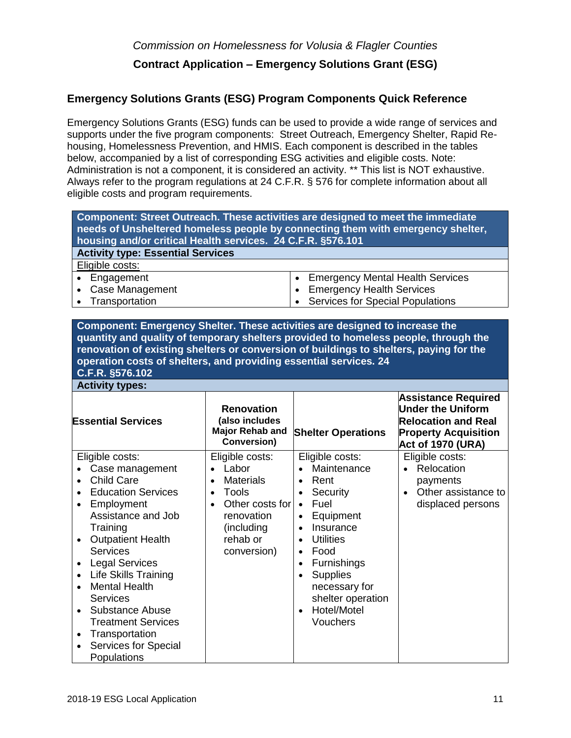## **Emergency Solutions Grants (ESG) Program Components Quick Reference**

Emergency Solutions Grants (ESG) funds can be used to provide a wide range of services and supports under the five program components: Street Outreach, Emergency Shelter, Rapid Rehousing, Homelessness Prevention, and HMIS. Each component is described in the tables below, accompanied by a list of corresponding ESG activities and eligible costs. Note: Administration is not a component, it is considered an activity. \*\* This list is NOT exhaustive. Always refer to the program regulations at 24 C.F.R. § 576 for complete information about all eligible costs and program requirements.

| Component: Street Outreach. These activities are designed to meet the immediate<br>needs of Unsheltered homeless people by connecting them with emergency shelter,<br>housing and/or critical Health services. 24 C.F.R. §576.101 |                                         |
|-----------------------------------------------------------------------------------------------------------------------------------------------------------------------------------------------------------------------------------|-----------------------------------------|
| <b>Activity type: Essential Services</b>                                                                                                                                                                                          |                                         |
| Eligible costs:                                                                                                                                                                                                                   |                                         |
| • Engagement                                                                                                                                                                                                                      | <b>Emergency Mental Health Services</b> |
| • Case Management                                                                                                                                                                                                                 | • Emergency Health Services             |
| • Transportation                                                                                                                                                                                                                  | • Services for Special Populations      |

**Component: Emergency Shelter. These activities are designed to increase the quantity and quality of temporary shelters provided to homeless people, through the renovation of existing shelters or conversion of buildings to shelters, paying for the operation costs of shelters, and providing essential services. 24**

**C.F.R. §576.102 Activity types:**

| <b>Essential Services</b>                                                                                                                                                                                                                                                                                                                                                                                                                                                                                            | <b>Renovation</b><br>(also includes<br><b>Major Rehab and</b><br>Conversion)                                                                                           | <b>Shelter Operations</b>                                                                                                                                                                                                                                                                                                                                    | <b>Assistance Required</b><br><b>Under the Uniform</b><br><b>Relocation and Real</b><br><b>Property Acquisition</b><br>Act of 1970 (URA) |
|----------------------------------------------------------------------------------------------------------------------------------------------------------------------------------------------------------------------------------------------------------------------------------------------------------------------------------------------------------------------------------------------------------------------------------------------------------------------------------------------------------------------|------------------------------------------------------------------------------------------------------------------------------------------------------------------------|--------------------------------------------------------------------------------------------------------------------------------------------------------------------------------------------------------------------------------------------------------------------------------------------------------------------------------------------------------------|------------------------------------------------------------------------------------------------------------------------------------------|
| Eligible costs:<br>Case management<br><b>Child Care</b><br>$\bullet$<br><b>Education Services</b><br>Employment<br>$\bullet$<br>Assistance and Job<br>Training<br><b>Outpatient Health</b><br>$\bullet$<br><b>Services</b><br><b>Legal Services</b><br>$\bullet$<br><b>Life Skills Training</b><br>$\bullet$<br><b>Mental Health</b><br>$\bullet$<br>Services<br><b>Substance Abuse</b><br>$\bullet$<br><b>Treatment Services</b><br>Transportation<br>$\bullet$<br>Services for Special<br>$\bullet$<br>Populations | Eligible costs:<br>Labor<br><b>Materials</b><br>$\bullet$<br>Tools<br>$\bullet$<br>Other costs for<br>$\bullet$<br>renovation<br>(including<br>rehab or<br>conversion) | Eligible costs:<br>Maintenance<br>Rent<br>$\bullet$<br>Security<br>$\bullet$<br>Fuel<br>$\bullet$<br>Equipment<br>$\bullet$<br>Insurance<br>$\bullet$<br><b>Utilities</b><br>$\bullet$<br>Food<br>$\bullet$<br><b>Furnishings</b><br>$\bullet$<br><b>Supplies</b><br>$\bullet$<br>necessary for<br>shelter operation<br>Hotel/Motel<br>$\bullet$<br>Vouchers | Eligible costs:<br>Relocation<br>payments<br>Other assistance to<br>$\bullet$<br>displaced persons                                       |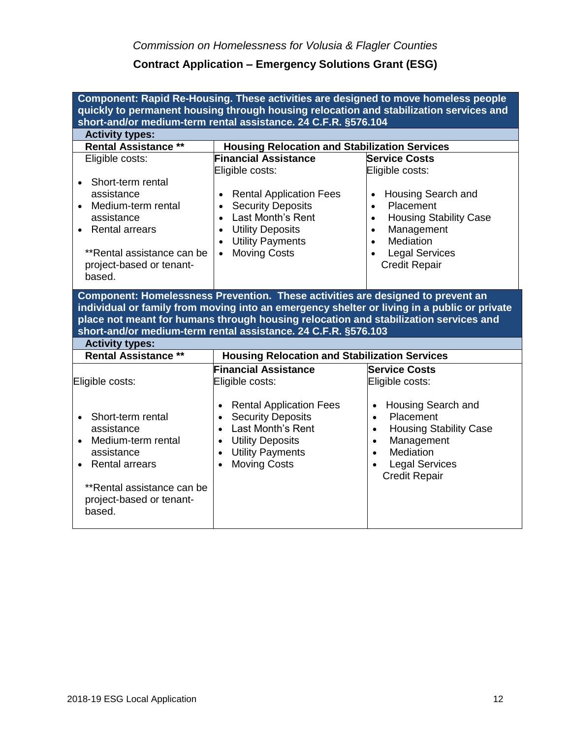| Component: Rapid Re-Housing. These activities are designed to move homeless people<br>quickly to permanent housing through housing relocation and stabilization services and                                                                                                                                                                                       |                                                                                                                                                                                                                                                               |                                                                                                                                                                                                                                               |  |  |
|--------------------------------------------------------------------------------------------------------------------------------------------------------------------------------------------------------------------------------------------------------------------------------------------------------------------------------------------------------------------|---------------------------------------------------------------------------------------------------------------------------------------------------------------------------------------------------------------------------------------------------------------|-----------------------------------------------------------------------------------------------------------------------------------------------------------------------------------------------------------------------------------------------|--|--|
|                                                                                                                                                                                                                                                                                                                                                                    | short-and/or medium-term rental assistance. 24 C.F.R. §576.104                                                                                                                                                                                                |                                                                                                                                                                                                                                               |  |  |
| <b>Activity types:</b>                                                                                                                                                                                                                                                                                                                                             |                                                                                                                                                                                                                                                               |                                                                                                                                                                                                                                               |  |  |
| <b>Rental Assistance **</b>                                                                                                                                                                                                                                                                                                                                        | <b>Housing Relocation and Stabilization Services</b>                                                                                                                                                                                                          |                                                                                                                                                                                                                                               |  |  |
| Eligible costs:                                                                                                                                                                                                                                                                                                                                                    | <b>Financial Assistance</b>                                                                                                                                                                                                                                   | <b>Service Costs</b>                                                                                                                                                                                                                          |  |  |
| Short-term rental<br>$\bullet$<br>assistance<br>Medium-term rental<br>$\bullet$<br>assistance<br><b>Rental arrears</b><br>$\bullet$<br>**Rental assistance can be<br>project-based or tenant-<br>based.                                                                                                                                                            | Eligible costs:<br><b>Rental Application Fees</b><br>$\bullet$<br><b>Security Deposits</b><br>$\bullet$<br>Last Month's Rent<br>$\bullet$<br><b>Utility Deposits</b><br>$\bullet$<br><b>Utility Payments</b><br>$\bullet$<br><b>Moving Costs</b><br>$\bullet$ | Eligible costs:<br>Housing Search and<br>$\bullet$<br>Placement<br>$\bullet$<br><b>Housing Stability Case</b><br>$\bullet$<br>Management<br>$\bullet$<br>Mediation<br>$\bullet$<br><b>Legal Services</b><br>$\bullet$<br><b>Credit Repair</b> |  |  |
| Component: Homelessness Prevention. These activities are designed to prevent an<br>individual or family from moving into an emergency shelter or living in a public or private<br>place not meant for humans through housing relocation and stabilization services and<br>short-and/or medium-term rental assistance. 24 C.F.R. §576.103<br><b>Activity types:</b> |                                                                                                                                                                                                                                                               |                                                                                                                                                                                                                                               |  |  |
|                                                                                                                                                                                                                                                                                                                                                                    |                                                                                                                                                                                                                                                               |                                                                                                                                                                                                                                               |  |  |
| <b>Rental Assistance **</b>                                                                                                                                                                                                                                                                                                                                        | <b>Housing Relocation and Stabilization Services</b>                                                                                                                                                                                                          |                                                                                                                                                                                                                                               |  |  |
| Eligible costs:                                                                                                                                                                                                                                                                                                                                                    | <b>Financial Assistance</b><br>Eligible costs:                                                                                                                                                                                                                | <b>Service Costs</b><br>Eligible costs:                                                                                                                                                                                                       |  |  |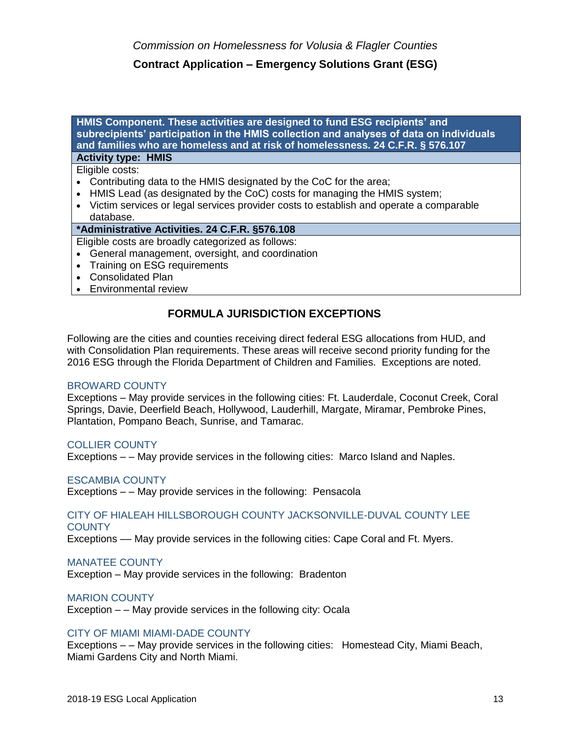**HMIS Component. These activities are designed to fund ESG recipients' and subrecipients' participation in the HMIS collection and analyses of data on individuals and families who are homeless and at risk of homelessness. 24 C.F.R. § 576.107**

# **Activity type: HMIS**

Eligible costs:

- Contributing data to the HMIS designated by the CoC for the area;
- HMIS Lead (as designated by the CoC) costs for managing the HMIS system;
- Victim services or legal services provider costs to establish and operate a comparable database.

### **\*Administrative Activities. 24 C.F.R. §576.108**

- Eligible costs are broadly categorized as follows:
- General management, oversight, and coordination
- Training on ESG requirements
- Consolidated Plan
- Environmental review

## **FORMULA JURISDICTION EXCEPTIONS**

Following are the cities and counties receiving direct federal ESG allocations from HUD, and with Consolidation Plan requirements. These areas will receive second priority funding for the 2016 ESG through the Florida Department of Children and Families. Exceptions are noted.

### BROWARD COUNTY

Exceptions – May provide services in the following cities: Ft. Lauderdale, Coconut Creek, Coral Springs, Davie, Deerfield Beach, Hollywood, Lauderhill, Margate, Miramar, Pembroke Pines, Plantation, Pompano Beach, Sunrise, and Tamarac.

### COLLIER COUNTY

Exceptions – – May provide services in the following cities: Marco Island and Naples.

### ESCAMBIA COUNTY

Exceptions – – May provide services in the following: Pensacola

#### CITY OF HIALEAH HILLSBOROUGH COUNTY JACKSONVILLE-DUVAL COUNTY LEE **COUNTY**

Exceptions –– May provide services in the following cities: Cape Coral and Ft. Myers.

### MANATEE COUNTY

Exception – May provide services in the following: Bradenton

### MARION COUNTY

Exception – – May provide services in the following city: Ocala

### CITY OF MIAMI MIAMI-DADE COUNTY

Exceptions – – May provide services in the following cities: Homestead City, Miami Beach, Miami Gardens City and North Miami.